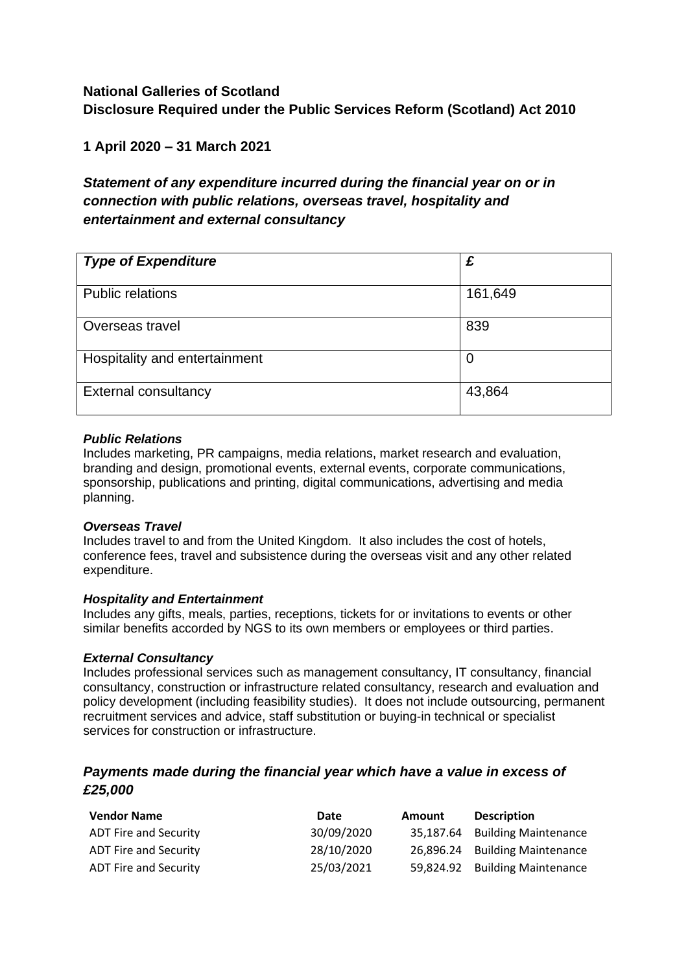# **National Galleries of Scotland Disclosure Required under the Public Services Reform (Scotland) Act 2010**

## **1 April 2020 – 31 March 2021**

# *Statement of any expenditure incurred during the financial year on or in connection with public relations, overseas travel, hospitality and entertainment and external consultancy*

| <b>Type of Expenditure</b>    | £       |
|-------------------------------|---------|
| <b>Public relations</b>       | 161,649 |
| Overseas travel               | 839     |
| Hospitality and entertainment | O       |
| <b>External consultancy</b>   | 43,864  |

#### *Public Relations*

Includes marketing, PR campaigns, media relations, market research and evaluation, branding and design, promotional events, external events, corporate communications, sponsorship, publications and printing, digital communications, advertising and media planning.

#### *Overseas Travel*

Includes travel to and from the United Kingdom. It also includes the cost of hotels, conference fees, travel and subsistence during the overseas visit and any other related expenditure.

#### *Hospitality and Entertainment*

Includes any gifts, meals, parties, receptions, tickets for or invitations to events or other similar benefits accorded by NGS to its own members or employees or third parties.

#### *External Consultancy*

Includes professional services such as management consultancy, IT consultancy, financial consultancy, construction or infrastructure related consultancy, research and evaluation and policy development (including feasibility studies). It does not include outsourcing, permanent recruitment services and advice, staff substitution or buying-in technical or specialist services for construction or infrastructure.

### *Payments made during the financial year which have a value in excess of £25,000*

| <b>Vendor Name</b>           | Date       | <b>Amount</b> | <b>Description</b>             |
|------------------------------|------------|---------------|--------------------------------|
| <b>ADT Fire and Security</b> | 30/09/2020 |               | 35,187.64 Building Maintenance |
| <b>ADT Fire and Security</b> | 28/10/2020 |               | 26,896.24 Building Maintenance |
| <b>ADT Fire and Security</b> | 25/03/2021 |               | 59,824.92 Building Maintenance |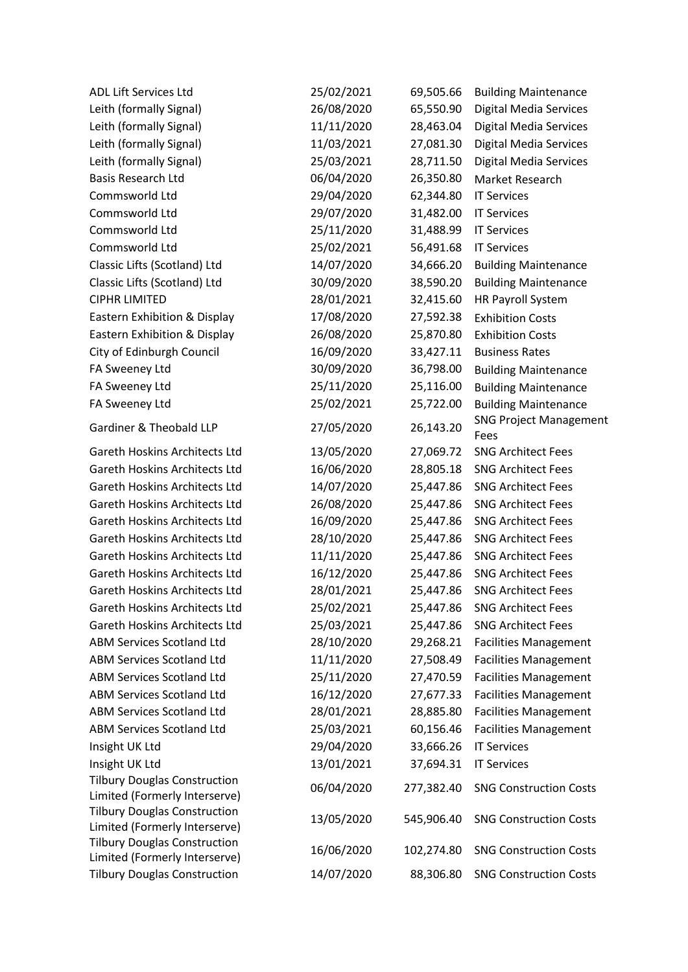| <b>ADL Lift Services Ltd</b>         | 25/02/2021 | 69,505.66  | <b>Building Maintenance</b>           |
|--------------------------------------|------------|------------|---------------------------------------|
| Leith (formally Signal)              | 26/08/2020 | 65,550.90  | <b>Digital Media Services</b>         |
| Leith (formally Signal)              | 11/11/2020 | 28,463.04  | Digital Media Services                |
| Leith (formally Signal)              | 11/03/2021 | 27,081.30  | Digital Media Services                |
| Leith (formally Signal)              | 25/03/2021 | 28,711.50  | Digital Media Services                |
| <b>Basis Research Ltd</b>            | 06/04/2020 | 26,350.80  | Market Research                       |
| Commsworld Ltd                       | 29/04/2020 | 62,344.80  | <b>IT Services</b>                    |
| Commsworld Ltd                       | 29/07/2020 | 31,482.00  | <b>IT Services</b>                    |
| Commsworld Ltd                       | 25/11/2020 | 31,488.99  | <b>IT Services</b>                    |
| Commsworld Ltd                       | 25/02/2021 | 56,491.68  | <b>IT Services</b>                    |
| Classic Lifts (Scotland) Ltd         | 14/07/2020 | 34,666.20  | <b>Building Maintenance</b>           |
| Classic Lifts (Scotland) Ltd         | 30/09/2020 | 38,590.20  | <b>Building Maintenance</b>           |
| <b>CIPHR LIMITED</b>                 | 28/01/2021 | 32,415.60  | HR Payroll System                     |
| Eastern Exhibition & Display         | 17/08/2020 | 27,592.38  | <b>Exhibition Costs</b>               |
| Eastern Exhibition & Display         | 26/08/2020 | 25,870.80  | <b>Exhibition Costs</b>               |
| City of Edinburgh Council            | 16/09/2020 | 33,427.11  | <b>Business Rates</b>                 |
| FA Sweeney Ltd                       | 30/09/2020 | 36,798.00  | <b>Building Maintenance</b>           |
| FA Sweeney Ltd                       | 25/11/2020 | 25,116.00  | <b>Building Maintenance</b>           |
| FA Sweeney Ltd                       | 25/02/2021 | 25,722.00  | <b>Building Maintenance</b>           |
| Gardiner & Theobald LLP              | 27/05/2020 | 26,143.20  | <b>SNG Project Management</b><br>Fees |
| Gareth Hoskins Architects Ltd        | 13/05/2020 | 27,069.72  | <b>SNG Architect Fees</b>             |
| <b>Gareth Hoskins Architects Ltd</b> | 16/06/2020 | 28,805.18  | <b>SNG Architect Fees</b>             |
| <b>Gareth Hoskins Architects Ltd</b> | 14/07/2020 | 25,447.86  | <b>SNG Architect Fees</b>             |
| <b>Gareth Hoskins Architects Ltd</b> | 26/08/2020 | 25,447.86  | <b>SNG Architect Fees</b>             |
| <b>Gareth Hoskins Architects Ltd</b> | 16/09/2020 | 25,447.86  | <b>SNG Architect Fees</b>             |
| <b>Gareth Hoskins Architects Ltd</b> | 28/10/2020 | 25,447.86  | <b>SNG Architect Fees</b>             |
| <b>Gareth Hoskins Architects Ltd</b> | 11/11/2020 | 25,447.86  | <b>SNG Architect Fees</b>             |
| <b>Gareth Hoskins Architects Ltd</b> | 16/12/2020 | 25,447.86  | <b>SNG Architect Fees</b>             |
| <b>Gareth Hoskins Architects Ltd</b> | 28/01/2021 | 25,447.86  | <b>SNG Architect Fees</b>             |
| <b>Gareth Hoskins Architects Ltd</b> | 25/02/2021 | 25,447.86  | <b>SNG Architect Fees</b>             |
| <b>Gareth Hoskins Architects Ltd</b> | 25/03/2021 | 25,447.86  | <b>SNG Architect Fees</b>             |
| <b>ABM Services Scotland Ltd</b>     | 28/10/2020 | 29,268.21  | <b>Facilities Management</b>          |
| <b>ABM Services Scotland Ltd</b>     | 11/11/2020 | 27,508.49  | <b>Facilities Management</b>          |
| <b>ABM Services Scotland Ltd</b>     | 25/11/2020 | 27,470.59  | <b>Facilities Management</b>          |
| <b>ABM Services Scotland Ltd</b>     | 16/12/2020 | 27,677.33  | <b>Facilities Management</b>          |
| <b>ABM Services Scotland Ltd</b>     | 28/01/2021 | 28,885.80  | <b>Facilities Management</b>          |
| <b>ABM Services Scotland Ltd</b>     | 25/03/2021 | 60,156.46  | <b>Facilities Management</b>          |
| Insight UK Ltd                       | 29/04/2020 | 33,666.26  | <b>IT Services</b>                    |
| Insight UK Ltd                       | 13/01/2021 | 37,694.31  | <b>IT Services</b>                    |
| <b>Tilbury Douglas Construction</b>  | 06/04/2020 |            |                                       |
| Limited (Formerly Interserve)        |            | 277,382.40 | <b>SNG Construction Costs</b>         |
| <b>Tilbury Douglas Construction</b>  | 13/05/2020 | 545,906.40 | <b>SNG Construction Costs</b>         |
| Limited (Formerly Interserve)        |            |            |                                       |
| <b>Tilbury Douglas Construction</b>  | 16/06/2020 | 102,274.80 | <b>SNG Construction Costs</b>         |
| Limited (Formerly Interserve)        |            |            |                                       |
| <b>Tilbury Douglas Construction</b>  | 14/07/2020 | 88,306.80  | <b>SNG Construction Costs</b>         |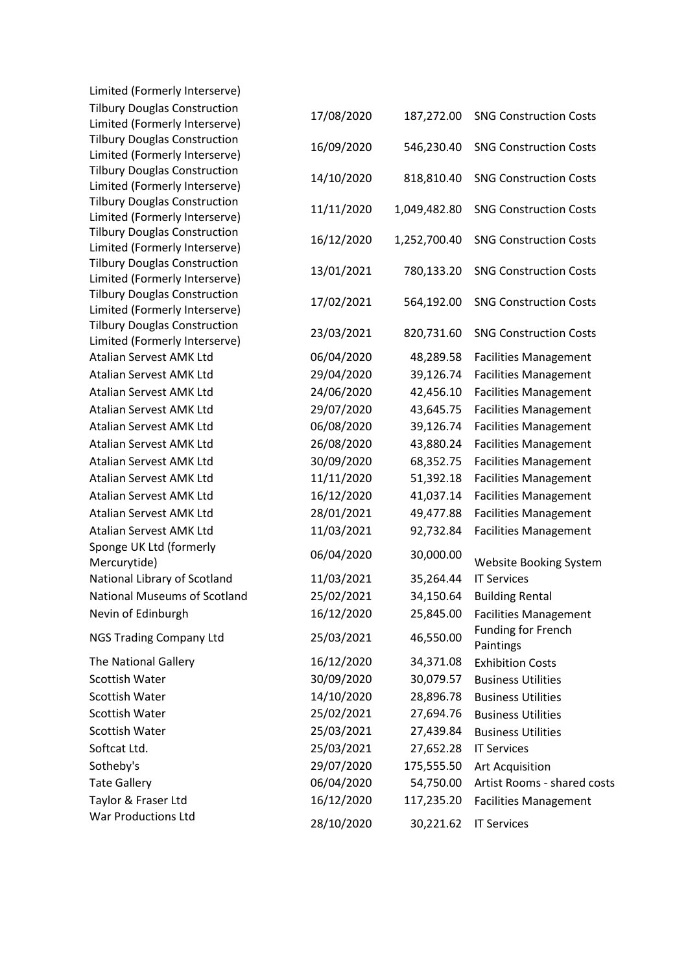| Limited (Formerly Interserve)                                        |            |              |                                                       |
|----------------------------------------------------------------------|------------|--------------|-------------------------------------------------------|
| <b>Tilbury Douglas Construction</b>                                  | 17/08/2020 | 187,272.00   | <b>SNG Construction Costs</b>                         |
| Limited (Formerly Interserve)                                        |            |              |                                                       |
| <b>Tilbury Douglas Construction</b>                                  | 16/09/2020 | 546,230.40   | <b>SNG Construction Costs</b>                         |
| Limited (Formerly Interserve)                                        |            |              |                                                       |
| <b>Tilbury Douglas Construction</b>                                  | 14/10/2020 | 818,810.40   | <b>SNG Construction Costs</b>                         |
| Limited (Formerly Interserve)                                        |            |              |                                                       |
| <b>Tilbury Douglas Construction</b>                                  | 11/11/2020 | 1,049,482.80 | <b>SNG Construction Costs</b>                         |
| Limited (Formerly Interserve)<br><b>Tilbury Douglas Construction</b> |            |              |                                                       |
| Limited (Formerly Interserve)                                        | 16/12/2020 | 1,252,700.40 | <b>SNG Construction Costs</b>                         |
| <b>Tilbury Douglas Construction</b>                                  |            |              |                                                       |
| Limited (Formerly Interserve)                                        | 13/01/2021 | 780,133.20   | <b>SNG Construction Costs</b>                         |
| <b>Tilbury Douglas Construction</b>                                  |            |              |                                                       |
| Limited (Formerly Interserve)                                        | 17/02/2021 | 564,192.00   | <b>SNG Construction Costs</b>                         |
| <b>Tilbury Douglas Construction</b>                                  |            |              |                                                       |
| Limited (Formerly Interserve)                                        | 23/03/2021 | 820,731.60   | <b>SNG Construction Costs</b>                         |
| <b>Atalian Servest AMK Ltd</b>                                       | 06/04/2020 | 48,289.58    | <b>Facilities Management</b>                          |
| <b>Atalian Servest AMK Ltd</b>                                       | 29/04/2020 | 39,126.74    | <b>Facilities Management</b>                          |
| Atalian Servest AMK Ltd                                              | 24/06/2020 | 42,456.10    | <b>Facilities Management</b>                          |
| Atalian Servest AMK Ltd                                              | 29/07/2020 | 43,645.75    | <b>Facilities Management</b>                          |
| Atalian Servest AMK Ltd                                              | 06/08/2020 | 39,126.74    | <b>Facilities Management</b>                          |
| Atalian Servest AMK Ltd                                              | 26/08/2020 | 43,880.24    | <b>Facilities Management</b>                          |
| Atalian Servest AMK Ltd                                              | 30/09/2020 | 68,352.75    | <b>Facilities Management</b>                          |
| Atalian Servest AMK Ltd                                              | 11/11/2020 | 51,392.18    | <b>Facilities Management</b>                          |
| Atalian Servest AMK Ltd                                              | 16/12/2020 | 41,037.14    | <b>Facilities Management</b>                          |
| Atalian Servest AMK Ltd                                              | 28/01/2021 | 49,477.88    | <b>Facilities Management</b>                          |
| Atalian Servest AMK Ltd                                              | 11/03/2021 | 92,732.84    | <b>Facilities Management</b>                          |
| Sponge UK Ltd (formerly                                              |            |              |                                                       |
| Mercurytide)                                                         | 06/04/2020 | 30,000.00    | <b>Website Booking System</b>                         |
| National Library of Scotland                                         | 11/03/2021 | 35,264.44    | <b>IT Services</b>                                    |
| <b>National Museums of Scotland</b>                                  | 25/02/2021 | 34,150.64    | <b>Building Rental</b>                                |
| Nevin of Edinburgh                                                   | 16/12/2020 | 25,845.00    | <b>Facilities Management</b>                          |
|                                                                      |            |              | <b>Funding for French</b>                             |
| <b>NGS Trading Company Ltd</b>                                       | 25/03/2021 | 46,550.00    | Paintings                                             |
| The National Gallery                                                 | 16/12/2020 | 34,371.08    | <b>Exhibition Costs</b>                               |
| <b>Scottish Water</b>                                                | 30/09/2020 | 30,079.57    | <b>Business Utilities</b>                             |
| <b>Scottish Water</b>                                                | 14/10/2020 | 28,896.78    | <b>Business Utilities</b>                             |
| <b>Scottish Water</b>                                                | 25/02/2021 | 27,694.76    | <b>Business Utilities</b>                             |
| <b>Scottish Water</b>                                                | 25/03/2021 | 27,439.84    | <b>Business Utilities</b>                             |
| Softcat Ltd.                                                         | 25/03/2021 | 27,652.28    | <b>IT Services</b>                                    |
| Sotheby's                                                            | 29/07/2020 | 175,555.50   |                                                       |
| <b>Tate Gallery</b>                                                  | 06/04/2020 | 54,750.00    | <b>Art Acquisition</b><br>Artist Rooms - shared costs |
|                                                                      |            |              |                                                       |
| Taylor & Fraser Ltd<br>War Productions Ltd                           | 16/12/2020 | 117,235.20   | <b>Facilities Management</b>                          |
|                                                                      | 28/10/2020 | 30,221.62    | <b>IT Services</b>                                    |